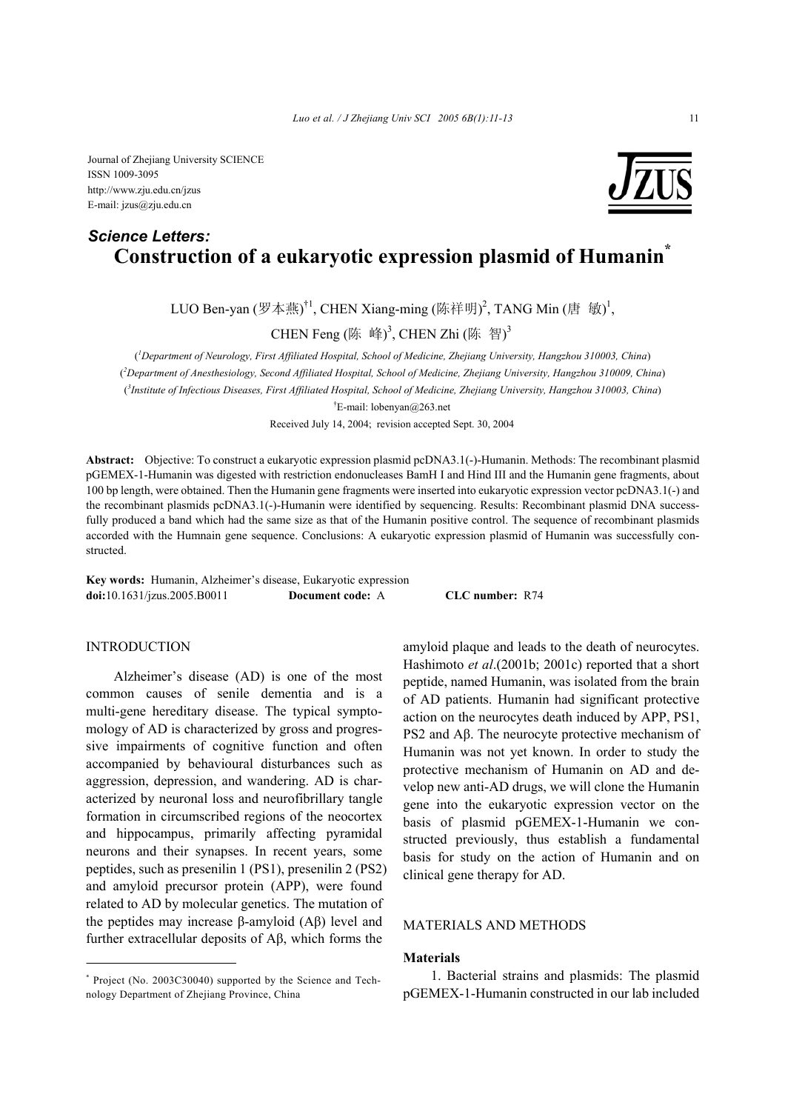Journal of Zhejiang University SCIENCE ISSN 1009-3095 http://www.zju.edu.cn/jzus E-mail: jzus@zju.edu.cn

# **Construction of a eukaryotic expression plasmid of Humanin\*** *Science Letters:*

LUO Ben-yan (罗本燕)<sup>†1</sup>, CHEN Xiang-ming (陈祥明)<sup>2</sup>, TANG Min (唐 敏)<sup>1</sup>,

CHEN Feng (陈 峰)<sup>3</sup>, CHEN Zhi (陈 智)<sup>3</sup>

( *1 Department of Neurology, First Affiliated Hospital, School of Medicine, Zhejiang University, Hangzhou 310003, China*) ( *2 Department of Anesthesiology, Second Affiliated Hospital, School of Medicine, Zhejiang University, Hangzhou 310009, China*) ( *3 Institute of Infectious Diseases, First Affiliated Hospital, School of Medicine, Zhejiang University, Hangzhou 310003, China*) † E-mail: lobenyan@263.net

Received July 14, 2004; revision accepted Sept. 30, 2004

**Abstract:** Objective: To construct a eukaryotic expression plasmid pcDNA3.1(-)-Humanin. Methods: The recombinant plasmid pGEMEX-1-Humanin was digested with restriction endonucleases BamH I and Hind III and the Humanin gene fragments, about 100 bp length, were obtained. Then the Humanin gene fragments were inserted into eukaryotic expression vector pcDNA3.1(-) and the recombinant plasmids pcDNA3.1(-)-Humanin were identified by sequencing. Results: Recombinant plasmid DNA successfully produced a band which had the same size as that of the Humanin positive control. The sequence of recombinant plasmids accorded with the Humnain gene sequence. Conclusions: A eukaryotic expression plasmid of Humanin was successfully constructed.

**Key words:** Humanin, Alzheimer's disease, Eukaryotic expression **doi:**10.1631/jzus.2005.B0011 **Document code:** A **CLC number:** R74

### INTRODUCTION

Alzheimer's disease (AD) is one of the most common causes of senile dementia and is a multi-gene hereditary disease. The typical symptomology of AD is characterized by gross and progressive impairments of cognitive function and often accompanied by behavioural disturbances such as aggression, depression, and wandering. AD is characterized by neuronal loss and neurofibrillary tangle formation in circumscribed regions of the neocortex and hippocampus, primarily affecting pyramidal neurons and their synapses. In recent years, some peptides, such as presenilin 1 (PS1), presenilin 2 (PS2) and amyloid precursor protein (APP), were found related to AD by molecular genetics. The mutation of the peptides may increase β-amyloid (Aβ) level and further extracellular deposits of Aβ, which forms the

amyloid plaque and leads to the death of neurocytes. Hashimoto *et al*.(2001b; 2001c) reported that a short peptide, named Humanin, was isolated from the brain of AD patients. Humanin had significant protective action on the neurocytes death induced by APP, PS1, PS2 and Aβ. The neurocyte protective mechanism of Humanin was not yet known. In order to study the protective mechanism of Humanin on AD and develop new anti-AD drugs, we will clone the Humanin gene into the eukaryotic expression vector on the basis of plasmid pGEMEX-1-Humanin we constructed previously, thus establish a fundamental basis for study on the action of Humanin and on clinical gene therapy for AD.

# MATERIALS AND METHODS

#### **Materials**

1. Bacterial strains and plasmids: The plasmid pGEMEX-1-Humanin constructed in our lab included

<sup>\*</sup> Project (No. 2003C30040) supported by the Science and Technology Department of Zhejiang Province, China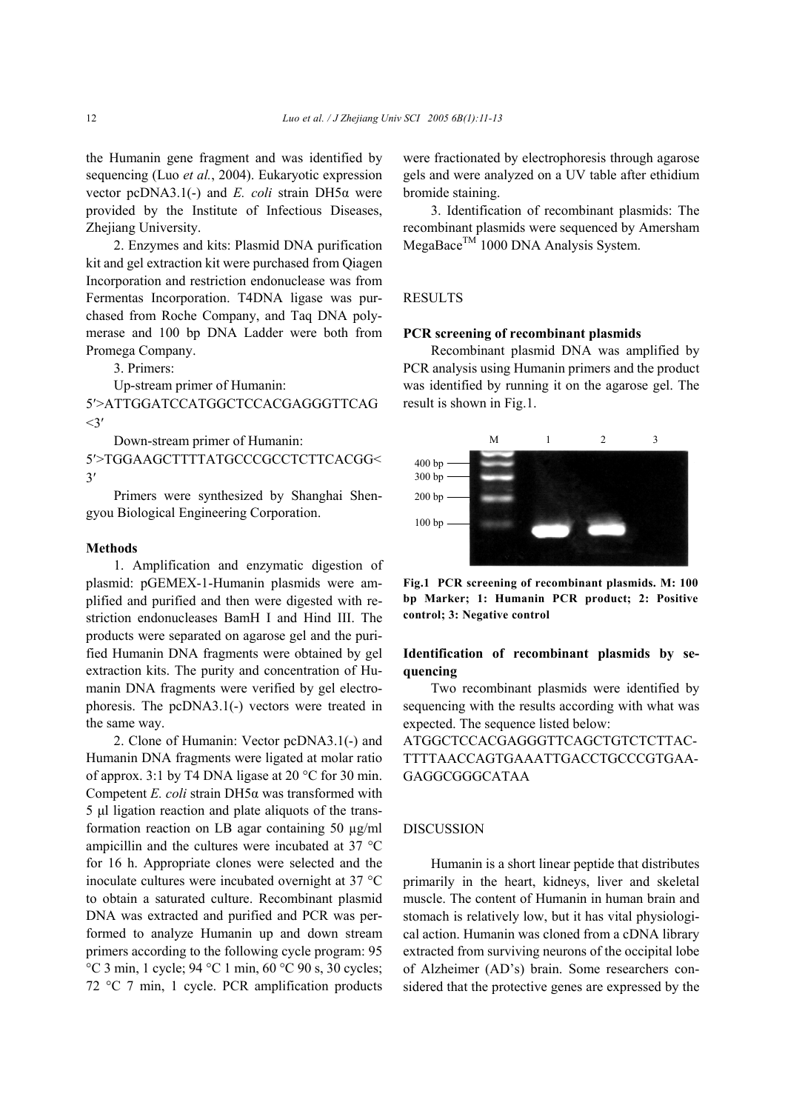the Humanin gene fragment and was identified by sequencing (Luo *et al.*, 2004). Eukaryotic expression vector pcDNA3.1(-) and *E. coli* strain DH5α were provided by the Institute of Infectious Diseases, Zhejiang University.

2. Enzymes and kits: Plasmid DNA purification kit and gel extraction kit were purchased from Qiagen Incorporation and restriction endonuclease was from Fermentas Incorporation. T4DNA ligase was purchased from Roche Company, and Taq DNA polymerase and 100 bp DNA Ladder were both from Promega Company.

3. Primers:

Up-stream primer of Humanin:

5′>ATTGGATCCATGGCTCCACGAGGGTTCAG  $\leq$ 3'

Down-stream primer of Humanin:

5′>TGGAAGCTTTTATGCCCGCCTCTTCACGG< 3′

Primers were synthesized by Shanghai Shengyou Biological Engineering Corporation.

#### **Methods**

1. Amplification and enzymatic digestion of plasmid: pGEMEX-1-Humanin plasmids were amplified and purified and then were digested with restriction endonucleases BamH I and Hind III. The products were separated on agarose gel and the purified Humanin DNA fragments were obtained by gel extraction kits. The purity and concentration of Humanin DNA fragments were verified by gel electrophoresis. The pcDNA3.1(-) vectors were treated in the same way.

2. Clone of Humanin: Vector pcDNA3.1(-) and Humanin DNA fragments were ligated at molar ratio of approx. 3:1 by T4 DNA ligase at 20 °C for 30 min. Competent *E. coli* strain DH5α was transformed with 5 µl ligation reaction and plate aliquots of the transformation reaction on LB agar containing 50 µg/ml ampicillin and the cultures were incubated at 37 °C for 16 h. Appropriate clones were selected and the inoculate cultures were incubated overnight at 37 °C to obtain a saturated culture. Recombinant plasmid DNA was extracted and purified and PCR was performed to analyze Humanin up and down stream primers according to the following cycle program: 95  $\degree$ C 3 min, 1 cycle; 94  $\degree$ C 1 min, 60  $\degree$ C 90 s, 30 cycles; 72 °C 7 min, 1 cycle. PCR amplification products were fractionated by electrophoresis through agarose gels and were analyzed on a UV table after ethidium bromide staining.

3. Identification of recombinant plasmids: The recombinant plasmids were sequenced by Amersham  $MeqaBace^{TM}$  1000 DNA Analysis System.

# **RESULTS**

#### **PCR screening of recombinant plasmids**

Recombinant plasmid DNA was amplified by PCR analysis using Humanin primers and the product was identified by running it on the agarose gel. The result is shown in Fig.1.



**Fig.1 PCR screening of recombinant plasmids. M: 100 bp Marker; 1: Humanin PCR product; 2: Positive control; 3: Negative control** 

# **Identification of recombinant plasmids by sequencing**

Two recombinant plasmids were identified by sequencing with the results according with what was expected. The sequence listed below:

ATGGCTCCACGAGGGTTCAGCTGTCTCTTAC-TTTTAACCAGTGAAATTGACCTGCCCGTGAA-GAGGCGGGCATAA

### DISCUSSION

Humanin is a short linear peptide that distributes primarily in the heart, kidneys, liver and skeletal muscle. The content of Humanin in human brain and stomach is relatively low, but it has vital physiological action. Humanin was cloned from a cDNA library extracted from surviving neurons of the occipital lobe of Alzheimer (AD's) brain. Some researchers considered that the protective genes are expressed by the